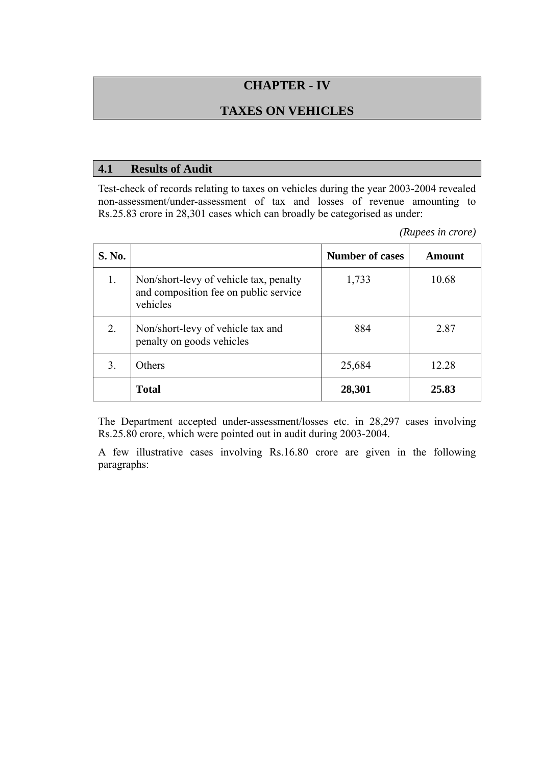# **CHAPTER - IV**

## **TAXES ON VEHICLES**

#### **4.1 Results of Audit**

Test-check of records relating to taxes on vehicles during the year 2003-2004 revealed non-assessment/under-assessment of tax and losses of revenue amounting to Rs.25.83 crore in 28,301 cases which can broadly be categorised as under:

*(Rupees in crore)* 

| S. No. |                                                                                             | <b>Number of cases</b> | Amount |
|--------|---------------------------------------------------------------------------------------------|------------------------|--------|
| 1.     | Non/short-levy of vehicle tax, penalty<br>and composition fee on public service<br>vehicles | 1,733                  | 10.68  |
| 2.     | Non/short-levy of vehicle tax and<br>penalty on goods vehicles                              | 884                    | 2.87   |
| 3.     | Others                                                                                      | 25,684                 | 12.28  |
|        | <b>Total</b>                                                                                | 28,301                 | 25.83  |

The Department accepted under-assessment/losses etc. in 28,297 cases involving Rs.25.80 crore, which were pointed out in audit during 2003-2004.

A few illustrative cases involving Rs.16.80 crore are given in the following paragraphs: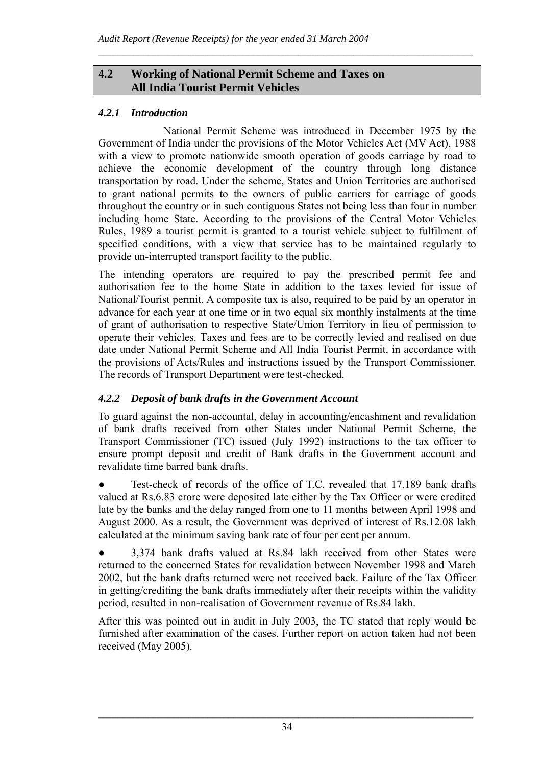### **4.2 Working of National Permit Scheme and Taxes on All India Tourist Permit Vehicles**

# *4.2.1 Introduction*

National Permit Scheme was introduced in December 1975 by the Government of India under the provisions of the Motor Vehicles Act (MV Act), 1988 with a view to promote nationwide smooth operation of goods carriage by road to achieve the economic development of the country through long distance transportation by road. Under the scheme, States and Union Territories are authorised to grant national permits to the owners of public carriers for carriage of goods throughout the country or in such contiguous States not being less than four in number including home State. According to the provisions of the Central Motor Vehicles Rules, 1989 a tourist permit is granted to a tourist vehicle subject to fulfilment of specified conditions, with a view that service has to be maintained regularly to provide un-interrupted transport facility to the public.

 $\mathcal{L}_\text{max} = \frac{1}{2} \sum_{i=1}^n \mathcal{L}_\text{max} = \frac{1}{2} \sum_{i=1}^n \mathcal{L}_\text{max} = \frac{1}{2} \sum_{i=1}^n \mathcal{L}_\text{max} = \frac{1}{2} \sum_{i=1}^n \mathcal{L}_\text{max} = \frac{1}{2} \sum_{i=1}^n \mathcal{L}_\text{max} = \frac{1}{2} \sum_{i=1}^n \mathcal{L}_\text{max} = \frac{1}{2} \sum_{i=1}^n \mathcal{L}_\text{max} = \frac{1}{2} \sum_{i=$ 

The intending operators are required to pay the prescribed permit fee and authorisation fee to the home State in addition to the taxes levied for issue of National/Tourist permit. A composite tax is also, required to be paid by an operator in advance for each year at one time or in two equal six monthly instalments at the time of grant of authorisation to respective State/Union Territory in lieu of permission to operate their vehicles. Taxes and fees are to be correctly levied and realised on due date under National Permit Scheme and All India Tourist Permit, in accordance with the provisions of Acts/Rules and instructions issued by the Transport Commissioner. The records of Transport Department were test-checked.

# *4.2.2 Deposit of bank drafts in the Government Account*

To guard against the non-accountal, delay in accounting/encashment and revalidation of bank drafts received from other States under National Permit Scheme, the Transport Commissioner (TC) issued (July 1992) instructions to the tax officer to ensure prompt deposit and credit of Bank drafts in the Government account and revalidate time barred bank drafts.

Test-check of records of the office of T.C. revealed that 17,189 bank drafts valued at Rs.6.83 crore were deposited late either by the Tax Officer or were credited late by the banks and the delay ranged from one to 11 months between April 1998 and August 2000. As a result, the Government was deprived of interest of Rs.12.08 lakh calculated at the minimum saving bank rate of four per cent per annum.

● 3,374 bank drafts valued at Rs.84 lakh received from other States were returned to the concerned States for revalidation between November 1998 and March 2002, but the bank drafts returned were not received back. Failure of the Tax Officer in getting/crediting the bank drafts immediately after their receipts within the validity period, resulted in non-realisation of Government revenue of Rs.84 lakh.

After this was pointed out in audit in July 2003, the TC stated that reply would be furnished after examination of the cases. Further report on action taken had not been received (May 2005).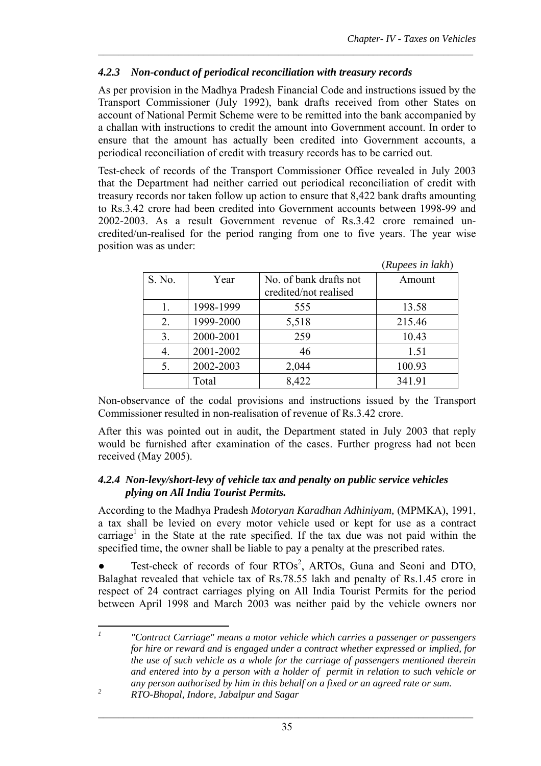(*Rupees in lakh*)

### *4.2.3 Non-conduct of periodical reconciliation with treasury records*

As per provision in the Madhya Pradesh Financial Code and instructions issued by the Transport Commissioner (July 1992), bank drafts received from other States on account of National Permit Scheme were to be remitted into the bank accompanied by a challan with instructions to credit the amount into Government account. In order to ensure that the amount has actually been credited into Government accounts, a periodical reconciliation of credit with treasury records has to be carried out.

 $\mathcal{L}_\text{max} = \frac{1}{2} \sum_{i=1}^n \mathcal{L}_\text{max} = \frac{1}{2} \sum_{i=1}^n \mathcal{L}_\text{max} = \frac{1}{2} \sum_{i=1}^n \mathcal{L}_\text{max} = \frac{1}{2} \sum_{i=1}^n \mathcal{L}_\text{max} = \frac{1}{2} \sum_{i=1}^n \mathcal{L}_\text{max} = \frac{1}{2} \sum_{i=1}^n \mathcal{L}_\text{max} = \frac{1}{2} \sum_{i=1}^n \mathcal{L}_\text{max} = \frac{1}{2} \sum_{i=$ 

Test-check of records of the Transport Commissioner Office revealed in July 2003 that the Department had neither carried out periodical reconciliation of credit with treasury records nor taken follow up action to ensure that 8,422 bank drafts amounting to Rs.3.42 crore had been credited into Government accounts between 1998-99 and 2002-2003. As a result Government revenue of Rs.3.42 crore remained uncredited/un-realised for the period ranging from one to five years. The year wise position was as under:

|        |           |                                                 | (Rupees in lakh) |
|--------|-----------|-------------------------------------------------|------------------|
| S. No. | Year      | No. of bank drafts not<br>credited/not realised | Amount           |
|        | 1998-1999 | 555                                             | 13.58            |
| 2.     | 1999-2000 | 5,518                                           | 215.46           |
| 3.     | 2000-2001 | 259                                             | 10.43            |
| 4.     | 2001-2002 | 46                                              | 1.51             |
| 5.     | 2002-2003 | 2,044                                           | 100.93           |
|        | Total     | 8,422                                           | 341.91           |

Non-observance of the codal provisions and instructions issued by the Transport Commissioner resulted in non-realisation of revenue of Rs.3.42 crore.

After this was pointed out in audit, the Department stated in July 2003 that reply would be furnished after examination of the cases. Further progress had not been received (May 2005).

#### *4.2.4 Non-levy/short-levy of vehicle tax and penalty on public service vehicles plying on All India Tourist Permits.*

According to the Madhya Pradesh *Motoryan Karadhan Adhiniyam,* (MPMKA), 1991, a tax shall be levied on every motor vehicle used or kept for use as a contract carriage<sup>1</sup> in the State at the rate specified. If the tax due was not paid within the specified time, the owner shall be liable to pay a penalty at the prescribed rates.

 $\bullet$  Test-check of records of four RTOs<sup>2</sup>, ARTOs, Guna and Seoni and DTO, Balaghat revealed that vehicle tax of Rs.78.55 lakh and penalty of Rs.1.45 crore in respect of 24 contract carriages plying on All India Tourist Permits for the period between April 1998 and March 2003 was neither paid by the vehicle owners nor

 $\overline{I}$ *<sup>1</sup> "Contract Carriage" means a motor vehicle which carries a passenger or passengers for hire or reward and is engaged under a contract whether expressed or implied, for the use of such vehicle as a whole for the carriage of passengers mentioned therein and entered into by a person with a holder of permit in relation to such vehicle or any person authorised by him in this behalf on a fixed or an agreed rate or sum.* 

*<sup>2</sup> RTO-Bhopal, Indore, Jabalpur and Sagar*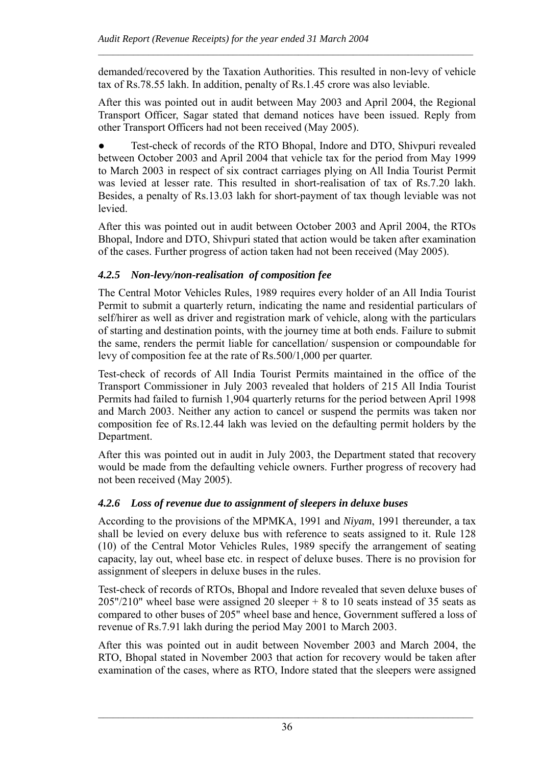demanded/recovered by the Taxation Authorities. This resulted in non-levy of vehicle tax of Rs.78.55 lakh. In addition, penalty of Rs.1.45 crore was also leviable.

 $\mathcal{L}_\text{max} = \frac{1}{2} \sum_{i=1}^n \mathcal{L}_\text{max} = \frac{1}{2} \sum_{i=1}^n \mathcal{L}_\text{max} = \frac{1}{2} \sum_{i=1}^n \mathcal{L}_\text{max} = \frac{1}{2} \sum_{i=1}^n \mathcal{L}_\text{max} = \frac{1}{2} \sum_{i=1}^n \mathcal{L}_\text{max} = \frac{1}{2} \sum_{i=1}^n \mathcal{L}_\text{max} = \frac{1}{2} \sum_{i=1}^n \mathcal{L}_\text{max} = \frac{1}{2} \sum_{i=$ 

After this was pointed out in audit between May 2003 and April 2004, the Regional Transport Officer, Sagar stated that demand notices have been issued. Reply from other Transport Officers had not been received (May 2005).

Test-check of records of the RTO Bhopal, Indore and DTO, Shivpuri revealed between October 2003 and April 2004 that vehicle tax for the period from May 1999 to March 2003 in respect of six contract carriages plying on All India Tourist Permit was levied at lesser rate. This resulted in short-realisation of tax of Rs.7.20 lakh. Besides, a penalty of Rs.13.03 lakh for short-payment of tax though leviable was not levied.

After this was pointed out in audit between October 2003 and April 2004, the RTOs Bhopal, Indore and DTO, Shivpuri stated that action would be taken after examination of the cases. Further progress of action taken had not been received (May 2005).

# *4.2.5 Non-levy/non-realisation of composition fee*

The Central Motor Vehicles Rules, 1989 requires every holder of an All India Tourist Permit to submit a quarterly return, indicating the name and residential particulars of self/hirer as well as driver and registration mark of vehicle, along with the particulars of starting and destination points, with the journey time at both ends. Failure to submit the same, renders the permit liable for cancellation/ suspension or compoundable for levy of composition fee at the rate of Rs.500/1,000 per quarter.

Test-check of records of All India Tourist Permits maintained in the office of the Transport Commissioner in July 2003 revealed that holders of 215 All India Tourist Permits had failed to furnish 1,904 quarterly returns for the period between April 1998 and March 2003. Neither any action to cancel or suspend the permits was taken nor composition fee of Rs.12.44 lakh was levied on the defaulting permit holders by the Department.

After this was pointed out in audit in July 2003, the Department stated that recovery would be made from the defaulting vehicle owners. Further progress of recovery had not been received (May 2005).

# *4.2.6 Loss of revenue due to assignment of sleepers in deluxe buses*

According to the provisions of the MPMKA, 1991 and *Niyam*, 1991 thereunder, a tax shall be levied on every deluxe bus with reference to seats assigned to it. Rule 128 (10) of the Central Motor Vehicles Rules, 1989 specify the arrangement of seating capacity, lay out, wheel base etc. in respect of deluxe buses. There is no provision for assignment of sleepers in deluxe buses in the rules.

Test-check of records of RTOs, Bhopal and Indore revealed that seven deluxe buses of 205"/210" wheel base were assigned 20 sleeper + 8 to 10 seats instead of 35 seats as compared to other buses of 205" wheel base and hence, Government suffered a loss of revenue of Rs.7.91 lakh during the period May 2001 to March 2003.

After this was pointed out in audit between November 2003 and March 2004, the RTO, Bhopal stated in November 2003 that action for recovery would be taken after examination of the cases, where as RTO, Indore stated that the sleepers were assigned

 $\mathcal{L}_\text{max}$  and  $\mathcal{L}_\text{max}$  and  $\mathcal{L}_\text{max}$  and  $\mathcal{L}_\text{max}$  and  $\mathcal{L}_\text{max}$  and  $\mathcal{L}_\text{max}$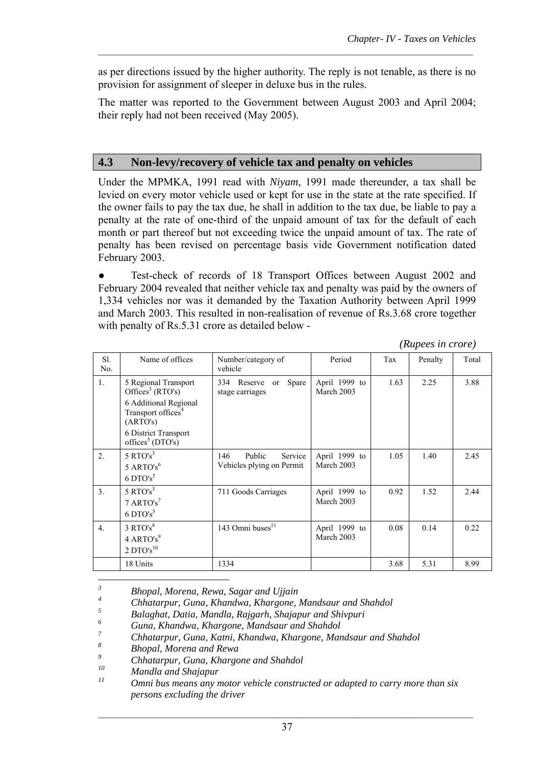as per directions issued by the higher authority. The reply is not tenable, as there is no provision for assignment of sleeper in deluxe bus in the rules.

 $\mathcal{L}_\text{max} = \frac{1}{2} \sum_{i=1}^n \mathcal{L}_\text{max} = \frac{1}{2} \sum_{i=1}^n \mathcal{L}_\text{max} = \frac{1}{2} \sum_{i=1}^n \mathcal{L}_\text{max} = \frac{1}{2} \sum_{i=1}^n \mathcal{L}_\text{max} = \frac{1}{2} \sum_{i=1}^n \mathcal{L}_\text{max} = \frac{1}{2} \sum_{i=1}^n \mathcal{L}_\text{max} = \frac{1}{2} \sum_{i=1}^n \mathcal{L}_\text{max} = \frac{1}{2} \sum_{i=$ 

The matter was reported to the Government between August 2003 and April 2004; their reply had not been received (May 2005).

## **4.3 Non-levy/recovery of vehicle tax and penalty on vehicles**

Under the MPMKA, 1991 read with *Niyam*, 1991 made thereunder, a tax shall be levied on every motor vehicle used or kept for use in the state at the rate specified. If the owner fails to pay the tax due, he shall in addition to the tax due, be liable to pay a penalty at the rate of one-third of the unpaid amount of tax for the default of each month or part thereof but not exceeding twice the unpaid amount of tax. The rate of penalty has been revised on percentage basis vide Government notification dated February 2003.

Test-check of records of 18 Transport Offices between August 2002 and February 2004 revealed that neither vehicle tax and penalty was paid by the owners of 1,334 vehicles nor was it demanded by the Taxation Authority between April 1999 and March 2003. This resulted in non-realisation of revenue of Rs.3.68 crore together with penalty of Rs.5.31 crore as detailed below -

 *(Rupees in crore)*

|                  |                                                                                                                             |                                                          |                             | $(2.00)$ events of $(0.00)$ |         |       |
|------------------|-----------------------------------------------------------------------------------------------------------------------------|----------------------------------------------------------|-----------------------------|-----------------------------|---------|-------|
| S1.<br>No.       | Name of offices                                                                                                             | Number/category of<br>vehicle                            | Period                      | Tax                         | Penalty | Total |
| 1.               | 5 Regional Transport<br>Offices <sup>3</sup> (RTO's)<br>6 Additional Regional<br>Transport offices <sup>4</sup><br>(ARTO's) | 334 Reserve<br>Spare<br><sub>or</sub><br>stage carriages | April 1999 to<br>March 2003 | 1.63                        | 2.25    | 3.88  |
|                  | 6 District Transport<br>offices <sup>5</sup> (DTO's)                                                                        |                                                          |                             |                             |         |       |
| 2.               | 5 RTO's <sup>3</sup><br>5 ARTO's $^6$<br>$6$ DTO's <sup>5</sup>                                                             | 146<br>Public<br>Service<br>Vehicles plying on Permit    | April 1999 to<br>March 2003 | 1.05                        | 1.40    | 2.45  |
| 3.               | 5 RTO's <sup>3</sup><br>$7$ ARTO's <sup>7</sup><br>$6$ DTO's <sup>5</sup>                                                   | 711 Goods Carriages                                      | April 1999 to<br>March 2003 | 0.92                        | 1.52    | 2.44  |
| $\overline{4}$ . | 3 RTO's <sup>8</sup><br>4 ARTO's <sup>9</sup><br>$2$ $\mathrm{DTO's}^{10}$                                                  | 143 Omni buses <sup>11</sup>                             | April 1999 to<br>March 2003 | 0.08                        | 0.14    | 0.22  |
|                  | 18 Units                                                                                                                    | 1334                                                     |                             | 3.68                        | 5.31    | 8.99  |

 *3 Bhopal, Morena, Rewa, Sagar and Ujjain*

*4 Chhatarpur, Guna, Khandwa, Khargone, Mandsaur and Shahdol* 

*5 Balaghat, Datia, Mandla, Rajgarh, Shajapur and Shivpuri* 

*6 Guna, Khandwa, Khargone, Mandsaur and Shahdol* 

*7 Chhatarpur, Guna, Katni, Khandwa, Khargone, Mandsaur and Shahdol* 

*8 Bhopal, Morena and Rewa*

*10 Mandla and Shajapur* 

*<sup>9</sup> Chhatarpur, Guna, Khargone and Shahdol* 

*Omni bus means any motor vehicle constructed or adapted to carry more than six persons excluding the driver*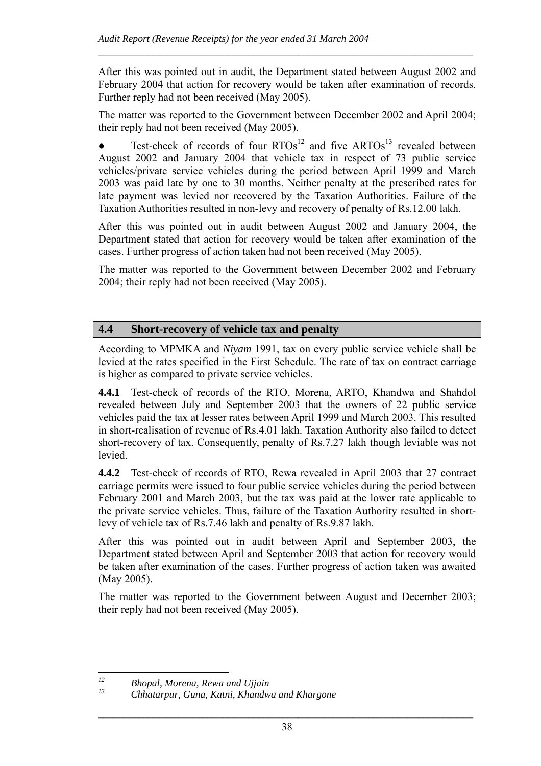After this was pointed out in audit, the Department stated between August 2002 and February 2004 that action for recovery would be taken after examination of records. Further reply had not been received (May 2005).

 $\mathcal{L}_\text{max} = \frac{1}{2} \sum_{i=1}^n \mathcal{L}_\text{max} = \frac{1}{2} \sum_{i=1}^n \mathcal{L}_\text{max} = \frac{1}{2} \sum_{i=1}^n \mathcal{L}_\text{max} = \frac{1}{2} \sum_{i=1}^n \mathcal{L}_\text{max} = \frac{1}{2} \sum_{i=1}^n \mathcal{L}_\text{max} = \frac{1}{2} \sum_{i=1}^n \mathcal{L}_\text{max} = \frac{1}{2} \sum_{i=1}^n \mathcal{L}_\text{max} = \frac{1}{2} \sum_{i=$ 

The matter was reported to the Government between December 2002 and April 2004; their reply had not been received (May 2005).

• Test-check of records of four  $RTOs^{12}$  and five  $ARTOs^{13}$  revealed between August 2002 and January 2004 that vehicle tax in respect of 73 public service vehicles/private service vehicles during the period between April 1999 and March 2003 was paid late by one to 30 months. Neither penalty at the prescribed rates for late payment was levied nor recovered by the Taxation Authorities. Failure of the Taxation Authorities resulted in non-levy and recovery of penalty of Rs.12.00 lakh.

After this was pointed out in audit between August 2002 and January 2004, the Department stated that action for recovery would be taken after examination of the cases. Further progress of action taken had not been received (May 2005).

The matter was reported to the Government between December 2002 and February 2004; their reply had not been received (May 2005).

### **4.4 Short-recovery of vehicle tax and penalty**

According to MPMKA and *Niyam* 1991, tax on every public service vehicle shall be levied at the rates specified in the First Schedule. The rate of tax on contract carriage is higher as compared to private service vehicles.

**4.4.1** Test-check of records of the RTO, Morena, ARTO, Khandwa and Shahdol revealed between July and September 2003 that the owners of 22 public service vehicles paid the tax at lesser rates between April 1999 and March 2003. This resulted in short-realisation of revenue of Rs.4.01 lakh. Taxation Authority also failed to detect short-recovery of tax. Consequently, penalty of Rs.7.27 lakh though leviable was not levied.

**4.4.2** Test-check of records of RTO, Rewa revealed in April 2003 that 27 contract carriage permits were issued to four public service vehicles during the period between February 2001 and March 2003, but the tax was paid at the lower rate applicable to the private service vehicles. Thus, failure of the Taxation Authority resulted in shortlevy of vehicle tax of Rs.7.46 lakh and penalty of Rs.9.87 lakh.

After this was pointed out in audit between April and September 2003, the Department stated between April and September 2003 that action for recovery would be taken after examination of the cases. Further progress of action taken was awaited (May 2005).

The matter was reported to the Government between August and December 2003; their reply had not been received (May 2005).

 $12$ *12 Bhopal, Morena, Rewa and Ujjain* 

*<sup>13</sup> Chhatarpur, Guna, Katni, Khandwa and Khargone*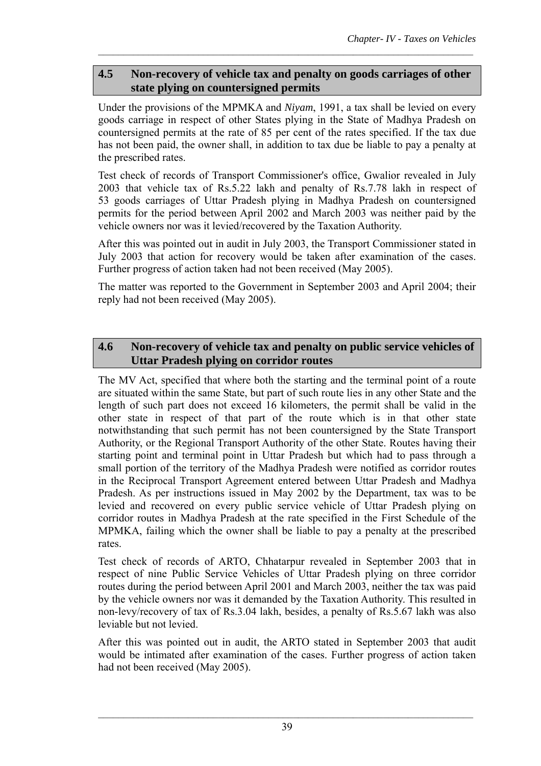## **4.5 Non-recovery of vehicle tax and penalty on goods carriages of other state plying on countersigned permits**

 $\mathcal{L}_\text{max} = \frac{1}{2} \sum_{i=1}^n \mathcal{L}_\text{max} = \frac{1}{2} \sum_{i=1}^n \mathcal{L}_\text{max} = \frac{1}{2} \sum_{i=1}^n \mathcal{L}_\text{max} = \frac{1}{2} \sum_{i=1}^n \mathcal{L}_\text{max} = \frac{1}{2} \sum_{i=1}^n \mathcal{L}_\text{max} = \frac{1}{2} \sum_{i=1}^n \mathcal{L}_\text{max} = \frac{1}{2} \sum_{i=1}^n \mathcal{L}_\text{max} = \frac{1}{2} \sum_{i=$ 

Under the provisions of the MPMKA and *Niyam*, 1991, a tax shall be levied on every goods carriage in respect of other States plying in the State of Madhya Pradesh on countersigned permits at the rate of 85 per cent of the rates specified. If the tax due has not been paid, the owner shall, in addition to tax due be liable to pay a penalty at the prescribed rates.

Test check of records of Transport Commissioner's office, Gwalior revealed in July 2003 that vehicle tax of Rs.5.22 lakh and penalty of Rs.7.78 lakh in respect of 53 goods carriages of Uttar Pradesh plying in Madhya Pradesh on countersigned permits for the period between April 2002 and March 2003 was neither paid by the vehicle owners nor was it levied/recovered by the Taxation Authority.

After this was pointed out in audit in July 2003, the Transport Commissioner stated in July 2003 that action for recovery would be taken after examination of the cases. Further progress of action taken had not been received (May 2005).

The matter was reported to the Government in September 2003 and April 2004; their reply had not been received (May 2005).

## **4.6 Non-recovery of vehicle tax and penalty on public service vehicles of Uttar Pradesh plying on corridor routes**

The MV Act, specified that where both the starting and the terminal point of a route are situated within the same State, but part of such route lies in any other State and the length of such part does not exceed 16 kilometers, the permit shall be valid in the other state in respect of that part of the route which is in that other state notwithstanding that such permit has not been countersigned by the State Transport Authority, or the Regional Transport Authority of the other State. Routes having their starting point and terminal point in Uttar Pradesh but which had to pass through a small portion of the territory of the Madhya Pradesh were notified as corridor routes in the Reciprocal Transport Agreement entered between Uttar Pradesh and Madhya Pradesh. As per instructions issued in May 2002 by the Department, tax was to be levied and recovered on every public service vehicle of Uttar Pradesh plying on corridor routes in Madhya Pradesh at the rate specified in the First Schedule of the MPMKA, failing which the owner shall be liable to pay a penalty at the prescribed rates.

Test check of records of ARTO, Chhatarpur revealed in September 2003 that in respect of nine Public Service Vehicles of Uttar Pradesh plying on three corridor routes during the period between April 2001 and March 2003, neither the tax was paid by the vehicle owners nor was it demanded by the Taxation Authority. This resulted in non-levy/recovery of tax of Rs.3.04 lakh, besides, a penalty of Rs.5.67 lakh was also leviable but not levied.

After this was pointed out in audit, the ARTO stated in September 2003 that audit would be intimated after examination of the cases. Further progress of action taken had not been received (May 2005).